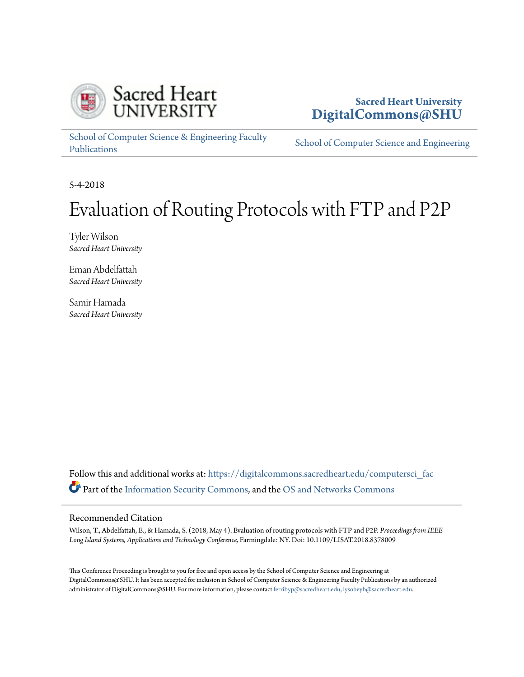

### **Sacred Heart University [DigitalCommons@SHU](https://digitalcommons.sacredheart.edu?utm_source=digitalcommons.sacredheart.edu%2Fcomputersci_fac%2F126&utm_medium=PDF&utm_campaign=PDFCoverPages)**

[School of Computer Science & Engineering Faculty](https://digitalcommons.sacredheart.edu/computersci_fac?utm_source=digitalcommons.sacredheart.edu%2Fcomputersci_fac%2F126&utm_medium=PDF&utm_campaign=PDFCoverPages) [Publications](https://digitalcommons.sacredheart.edu/computersci_fac?utm_source=digitalcommons.sacredheart.edu%2Fcomputersci_fac%2F126&utm_medium=PDF&utm_campaign=PDFCoverPages)

[School of Computer Science and Engineering](https://digitalcommons.sacredheart.edu/computersci?utm_source=digitalcommons.sacredheart.edu%2Fcomputersci_fac%2F126&utm_medium=PDF&utm_campaign=PDFCoverPages)

5-4-2018

# Evaluation of Routing Protocols with FTP and P2P

Tyler Wilson *Sacred Heart University*

Eman Abdelfattah *Sacred Heart University*

Samir Hamada *Sacred Heart University*

Follow this and additional works at: [https://digitalcommons.sacredheart.edu/computersci\\_fac](https://digitalcommons.sacredheart.edu/computersci_fac?utm_source=digitalcommons.sacredheart.edu%2Fcomputersci_fac%2F126&utm_medium=PDF&utm_campaign=PDFCoverPages) Part of the [Information Security Commons,](http://network.bepress.com/hgg/discipline/1247?utm_source=digitalcommons.sacredheart.edu%2Fcomputersci_fac%2F126&utm_medium=PDF&utm_campaign=PDFCoverPages) and the [OS and Networks Commons](http://network.bepress.com/hgg/discipline/149?utm_source=digitalcommons.sacredheart.edu%2Fcomputersci_fac%2F126&utm_medium=PDF&utm_campaign=PDFCoverPages)

#### Recommended Citation

Wilson, T., Abdelfattah, E., & Hamada, S. (2018, May 4). Evaluation of routing protocols with FTP and P2P. *Proceedings from IEEE Long Island Systems, Applications and Technology Conference,* Farmingdale: NY. Doi: 10.1109/LISAT.2018.8378009

This Conference Proceeding is brought to you for free and open access by the School of Computer Science and Engineering at DigitalCommons@SHU. It has been accepted for inclusion in School of Computer Science & Engineering Faculty Publications by an authorized administrator of DigitalCommons@SHU. For more information, please contact [ferribyp@sacredheart.edu, lysobeyb@sacredheart.edu.](mailto:ferribyp@sacredheart.edu,%20lysobeyb@sacredheart.edu)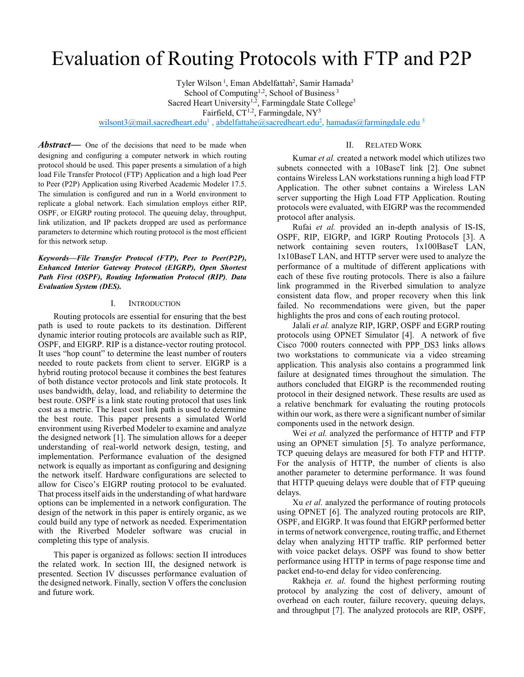## Evaluation of Routing Protocols with FTP and P2P

Tyler Wilson<sup>1</sup>, Eman Abdelfattah<sup>2</sup>, Samir Hamada<sup>3</sup> School of Computing<sup>1,2</sup>, School of Business<sup>3</sup> Sacred Heart University<sup>1,2</sup>, Farmingdale State College<sup>3</sup> Fairfield,  $CT^{1,2}$ , Farmingdale, NY<sup>3</sup> wilsont3@mail.sacredheart.edu<sup>1</sup>, abdelfattahe@sacredheart.edu<sup>2</sup>, hamadas@farmingdale.edu<sup>3</sup>

#### II. RELATED WORK

Abstract— One of the decisions that need to be made when designing and configuring a computer network in which routing protocol should be used. This paper presents a simulation of a high load File Transfer Protocol (FTP) Application and a high load Peer to Peer (P2P) Application using Riverbed Academic Modeler 17.5. The simulation is configured and run in a World environment to replicate a global network. Each simulation employs either RIP, OSPF, or EIGRP routing protocol. The queuing delay, throughput, link utilization, and IP packets dropped are used as performance parameters to determine which routing protocol is the most efficient for this network setup.

*Keywords—File Transfer Protocol (FTP), Peer to Peer(P2P), Enhanced Interior Gateway Protocol (EIGRP), Open Shortest Path First (OSPF), Routing Information Protocol (RIP), Data Evaluation System (DES).* 

#### I. INTRODUCTION

Routing protocols are essential for ensuring that the best path is used to route packets to its destination. Different dynamic interior routing protocols are available such as RIP, OSPF, and EIGRP. RIP is a distance-vector routing protocol. It uses "hop count" to determine the least number of routers needed to route packets from client to server. EIGRP is a hybrid routing protocol because it combines the best features of both distance vector protocols and link state protocols. It uses bandwidth, delay, load, and reliability to determine the best route. OSPF is a link state routing protocol that uses link cost as a metric. The least cost link path is used to determine the best route. This paper presents a simulated World environment using Riverbed Modeler to examine and analyze the designed network [1]. The simulation allows for a deeper understanding of real-world network design, testing, and implementation. Performance evaluation of the designed network is equally as important as configuring and designing the network itself. Hardware configurations are selected to allow for Cisco's EIGRP routing protocol to be evaluated. That process itself aids in the understanding of what hardware options can be implemented in a network configuration. The design of the network in this paper is entirely organic, as we could build any type of network as needed. Experimentation with the Riverbed Modeler software was crucial in completing this type of analysis.

This paper is organized as follows: section II introduces the related work. In section III, the designed network is presented. Section IV discusses performance evaluation of the designed network. Finally, section V offers the conclusion and future work.

Kumar *et al.* created a network model which utilizes two subnets connected with a 10BaseT link [2]. One subnet contains Wireless LAN workstations running a high load FTP Application. The other subnet contains a Wireless LAN server supporting the High Load FTP Application. Routing protocols were evaluated, with EIGRP was the recommended protocol after analysis.

Rufai *et al.* provided an in-depth analysis of IS-IS, OSPF, RIP, EIGRP, and IGRP Routing Protocols [3]. A network containing seven routers, 1x100BaseT LAN, 1x10BaseT LAN, and HTTP server were used to analyze the performance of a multitude of different applications with each of these five routing protocols. There is also a failure link programmed in the Riverbed simulation to analyze consistent data flow, and proper recovery when this link failed. No recommendations were given, but the paper highlights the pros and cons of each routing protocol.

Jalali *et al.* analyze RIP, IGRP, OSPF and EGRP routing protocols using OPNET Simulator [4]. A network of five Cisco 7000 routers connected with PPP\_DS3 links allows two workstations to communicate via a video streaming application. This analysis also contains a programmed link failure at designated times throughout the simulation. The authors concluded that EIGRP is the recommended routing protocol in their designed network. These results are used as a relative benchmark for evaluating the routing protocols within our work, as there were a significant number of similar components used in the network design.

Wei *et al.* analyzed the performance of HTTP and FTP using an OPNET simulation [5]. To analyze performance, TCP queuing delays are measured for both FTP and HTTP. For the analysis of HTTP, the number of clients is also another parameter to determine performance. It was found that HTTP queuing delays were double that of FTP queuing delays.

Xu *et al.* analyzed the performance of routing protocols using OPNET [6]. The analyzed routing protocols are RIP, OSPF, and EIGRP. It was found that EIGRP performed better in terms of network convergence, routing traffic, and Ethernet delay when analyzing HTTP traffic. RIP performed better with voice packet delays. OSPF was found to show better performance using HTTP in terms of page response time and packet end-to-end delay for video conferencing.

Rakheja *et. al.* found the highest performing routing protocol by analyzing the cost of delivery, amount of overhead on each router, failure recovery, queuing delays, and throughput [7]. The analyzed protocols are RIP, OSPF,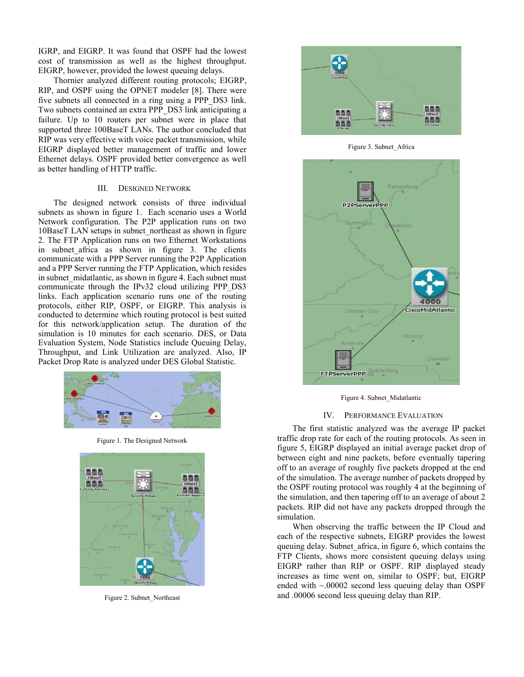IGRP, and EIGRP. It was found that OSPF had the lowest cost of transmission as well as the highest throughput. EIGRP, however, provided the lowest queuing delays.

Thornier analyzed different routing protocols; EIGRP, RIP, and OSPF using the OPNET modeler [8]. There were five subnets all connected in a ring using a PPP\_DS3 link. Two subnets contained an extra PPP\_DS3 link anticipating a failure. Up to 10 routers per subnet were in place that supported three 100BaseT LANs. The author concluded that RIP was very effective with voice packet transmission, while EIGRP displayed better management of traffic and lower Ethernet delays. OSPF provided better convergence as well as better handling of HTTP traffic.

#### III. DESIGNED NETWORK

The designed network consists of three individual subnets as shown in figure 1. Each scenario uses a World Network configuration. The P2P application runs on two 10BaseT LAN setups in subnet\_northeast as shown in figure 2. The FTP Application runs on two Ethernet Workstations in subnet\_africa as shown in figure 3. The clients communicate with a PPP Server running the P2P Application and a PPP Server running the FTP Application, which resides in subnet midatlantic, as shown in figure 4. Each subnet must communicate through the IPv32 cloud utilizing PPP\_DS3 links. Each application scenario runs one of the routing protocols, either RIP, OSPF, or EIGRP. This analysis is conducted to determine which routing protocol is best suited for this network/application setup. The duration of the simulation is 10 minutes for each scenario. DES, or Data Evaluation System, Node Statistics include Queuing Delay, Throughput, and Link Utilization are analyzed. Also, IP Packet Drop Rate is analyzed under DES Global Statistic.



Figure 1. The Designed Network



Figure 2. Subnet\_Northeast



Figure 3. Subnet\_Africa



Figure 4. Subnet\_Midatlantic

#### IV. PERFORMANCE EVALUATION

The first statistic analyzed was the average IP packet traffic drop rate for each of the routing protocols. As seen in figure 5, EIGRP displayed an initial average packet drop of between eight and nine packets, before eventually tapering off to an average of roughly five packets dropped at the end of the simulation. The average number of packets dropped by the OSPF routing protocol was roughly 4 at the beginning of the simulation, and then tapering off to an average of about 2 packets. RIP did not have any packets dropped through the simulation.

When observing the traffic between the IP Cloud and each of the respective subnets, EIGRP provides the lowest queuing delay. Subnet\_africa, in figure 6, which contains the FTP Clients, shows more consistent queuing delays using EIGRP rather than RIP or OSPF. RIP displayed steady increases as time went on, similar to OSPF; but, EIGRP ended with  $\sim 00002$  second less queuing delay than OSPF and .00006 second less queuing delay than RIP.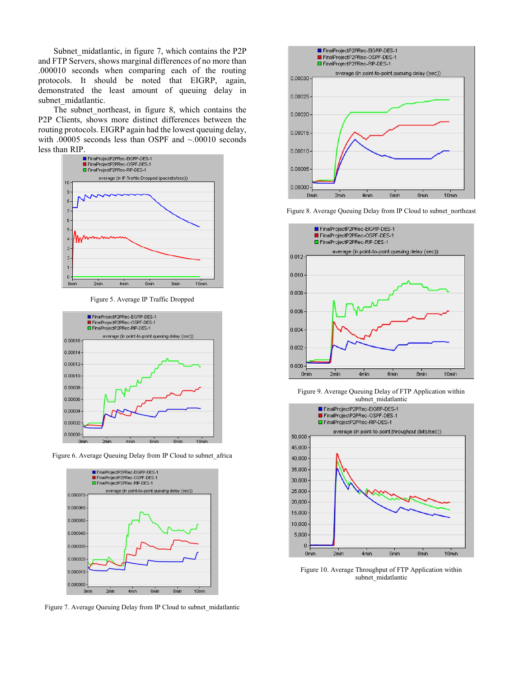Subnet midatlantic, in figure 7, which contains the P2P and FTP Servers, shows marginal differences of no more than .000010 seconds when comparing each of the routing protocols. It should be noted that EIGRP, again, demonstrated the least amount of queuing delay in subnet midatlantic.

The subnet northeast, in figure 8, which contains the P2P Clients, shows more distinct differences between the routing protocols. EIGRP again had the lowest queuing delay, with .00005 seconds less than OSPF and ~.00010 seconds



Figure 5. Average IP Traffic Dropped



Figure 6. Average Queuing Delay from IP Cloud to subnet\_africa



Figure 7. Average Queuing Delay from IP Cloud to subnet\_midatlantic



Figure 8. Average Queuing Delay from IP Cloud to subnet\_northeast



Figure 9. Average Queuing Delay of FTP Application within subnet\_midatlantic



Figure 10. Average Throughput of FTP Application within subnet\_midatlantic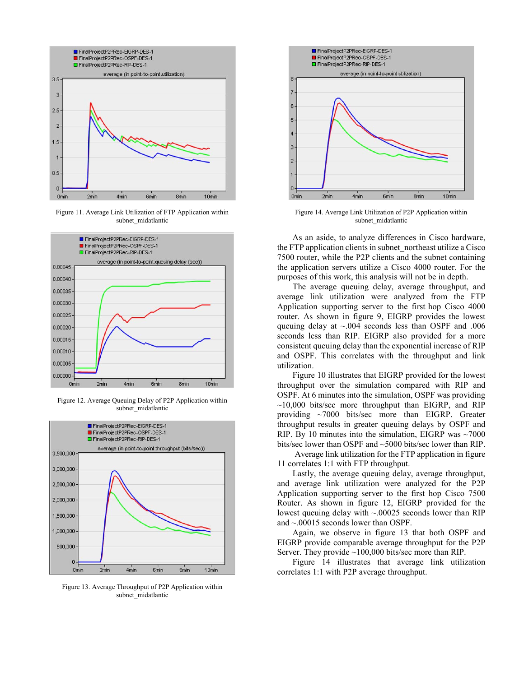

Figure 11. Average Link Utilization of FTP Application within subnet\_midatlantic



Figure 12. Average Queuing Delay of P2P Application within subnet\_midatlantic



Figure 13. Average Throughput of P2P Application within subnet midatlantic



Figure 14. Average Link Utilization of P2P Application within subnet\_midatlantic

As an aside, to analyze differences in Cisco hardware, the FTP application clients in subnet\_northeast utilize a Cisco 7500 router, while the P2P clients and the subnet containing the application servers utilize a Cisco 4000 router. For the purposes of this work, this analysis will not be in depth.

The average queuing delay, average throughput, and average link utilization were analyzed from the FTP Application supporting server to the first hop Cisco 4000 router. As shown in figure 9, EIGRP provides the lowest queuing delay at ~.004 seconds less than OSPF and .006 seconds less than RIP. EIGRP also provided for a more consistent queuing delay than the exponential increase of RIP and OSPF. This correlates with the throughput and link utilization.

Figure 10 illustrates that EIGRP provided for the lowest throughput over the simulation compared with RIP and OSPF. At 6 minutes into the simulation, OSPF was providing  $\sim$ 10,000 bits/sec more throughput than EIGRP, and RIP providing ~7000 bits/sec more than EIGRP. Greater throughput results in greater queuing delays by OSPF and RIP. By 10 minutes into the simulation, EIGRP was  $\sim$ 7000 bits/sec lower than OSPF and ~5000 bits/sec lower than RIP.

 Average link utilization for the FTP application in figure 11 correlates 1:1 with FTP throughput.

Lastly, the average queuing delay, average throughput, and average link utilization were analyzed for the P2P Application supporting server to the first hop Cisco 7500 Router. As shown in figure 12, EIGRP provided for the lowest queuing delay with  $\sim 0.00025$  seconds lower than RIP and ~.00015 seconds lower than OSPF.

Again, we observe in figure 13 that both OSPF and EIGRP provide comparable average throughput for the P2P Server. They provide ~100,000 bits/sec more than RIP.

Figure 14 illustrates that average link utilization correlates 1:1 with P2P average throughput.